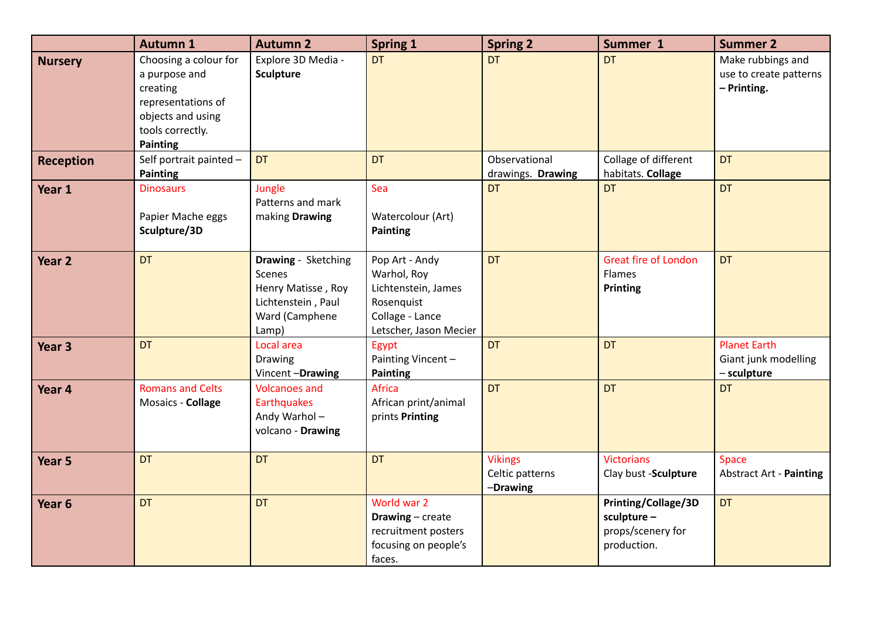|                   | <b>Autumn 1</b>                                                                                                               | <b>Autumn 2</b>                                                                                             | <b>Spring 1</b>                                                                                                 | <b>Spring 2</b>                               | Summer 1                                                               | <b>Summer 2</b>                                            |
|-------------------|-------------------------------------------------------------------------------------------------------------------------------|-------------------------------------------------------------------------------------------------------------|-----------------------------------------------------------------------------------------------------------------|-----------------------------------------------|------------------------------------------------------------------------|------------------------------------------------------------|
| <b>Nursery</b>    | Choosing a colour for<br>a purpose and<br>creating<br>representations of<br>objects and using<br>tools correctly.<br>Painting | Explore 3D Media -<br><b>Sculpture</b>                                                                      | <b>DT</b>                                                                                                       | <b>DT</b>                                     | <b>DT</b>                                                              | Make rubbings and<br>use to create patterns<br>- Printing. |
| <b>Reception</b>  | Self portrait painted -<br><b>Painting</b>                                                                                    | <b>DT</b>                                                                                                   | <b>DT</b>                                                                                                       | Observational<br>drawings. Drawing            | Collage of different<br>habitats. Collage                              | <b>DT</b>                                                  |
| Year 1            | <b>Dinosaurs</b><br>Papier Mache eggs<br>Sculpture/3D                                                                         | Jungle<br>Patterns and mark<br>making Drawing                                                               | Sea<br>Watercolour (Art)<br><b>Painting</b>                                                                     | <b>DT</b>                                     | <b>DT</b>                                                              | <b>DT</b>                                                  |
| Year <sub>2</sub> | <b>DT</b>                                                                                                                     | <b>Drawing</b> - Sketching<br>Scenes<br>Henry Matisse, Roy<br>Lichtenstein, Paul<br>Ward (Camphene<br>Lamp) | Pop Art - Andy<br>Warhol, Roy<br>Lichtenstein, James<br>Rosenquist<br>Collage - Lance<br>Letscher, Jason Mecier | <b>DT</b>                                     | <b>Great fire of London</b><br>Flames<br>Printing                      | <b>DT</b>                                                  |
| Year <sub>3</sub> | <b>DT</b>                                                                                                                     | Local area<br>Drawing<br>Vincent-Drawing                                                                    | Egypt<br>Painting Vincent-<br>Painting                                                                          | <b>DT</b>                                     | <b>DT</b>                                                              | <b>Planet Earth</b><br>Giant junk modelling<br>- sculpture |
| Year 4            | <b>Romans and Celts</b><br>Mosaics - Collage                                                                                  | <b>Volcanoes and</b><br>Earthquakes<br>Andy Warhol-<br>volcano - Drawing                                    | Africa<br>African print/animal<br>prints Printing                                                               | <b>DT</b>                                     | <b>DT</b>                                                              | <b>DT</b>                                                  |
| Year 5            | DT                                                                                                                            | <b>DT</b>                                                                                                   | <b>DT</b>                                                                                                       | <b>Vikings</b><br>Celtic patterns<br>-Drawing | <b>Victorians</b><br>Clay bust -Sculpture                              | <b>Space</b><br><b>Abstract Art - Painting</b>             |
| Year <sub>6</sub> | <b>DT</b>                                                                                                                     | <b>DT</b>                                                                                                   | World war 2<br>Drawing - create<br>recruitment posters<br>focusing on people's<br>faces.                        |                                               | Printing/Collage/3D<br>sculpture -<br>props/scenery for<br>production. | <b>DT</b>                                                  |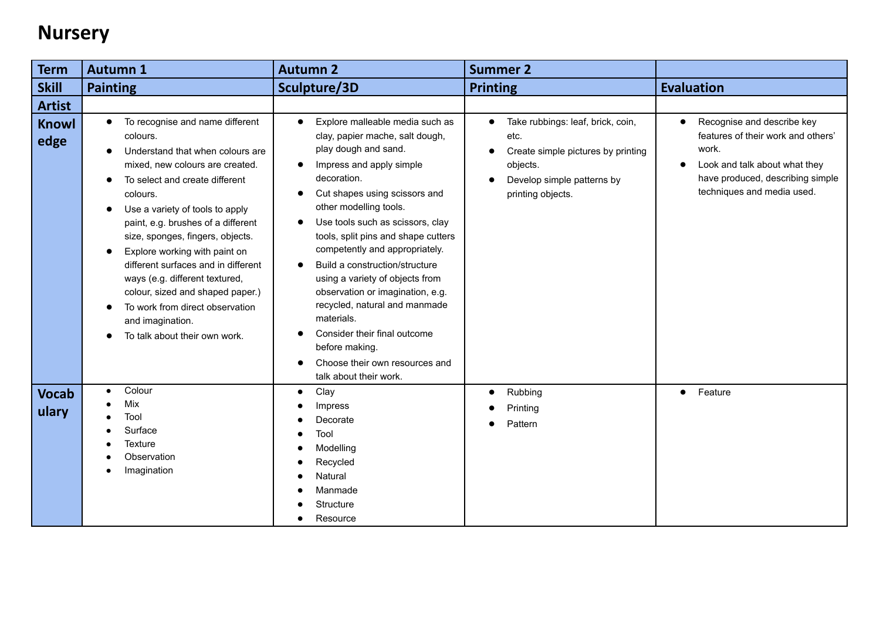## **Nursery**

| <b>Term</b>           | <b>Autumn 1</b>                                                                                                                                                                                                                                                                                                                                                                                                                                                                                                                                            | <b>Autumn 2</b>                                                                                                                                                                                                                                                                                                                                                                                                                                                                                                                                                                                                                                                   | <b>Summer 2</b>                                                                                                                                             |                                                                                                                                                                              |
|-----------------------|------------------------------------------------------------------------------------------------------------------------------------------------------------------------------------------------------------------------------------------------------------------------------------------------------------------------------------------------------------------------------------------------------------------------------------------------------------------------------------------------------------------------------------------------------------|-------------------------------------------------------------------------------------------------------------------------------------------------------------------------------------------------------------------------------------------------------------------------------------------------------------------------------------------------------------------------------------------------------------------------------------------------------------------------------------------------------------------------------------------------------------------------------------------------------------------------------------------------------------------|-------------------------------------------------------------------------------------------------------------------------------------------------------------|------------------------------------------------------------------------------------------------------------------------------------------------------------------------------|
| <b>Skill</b>          | <b>Painting</b>                                                                                                                                                                                                                                                                                                                                                                                                                                                                                                                                            | Sculpture/3D                                                                                                                                                                                                                                                                                                                                                                                                                                                                                                                                                                                                                                                      | <b>Printing</b>                                                                                                                                             | <b>Evaluation</b>                                                                                                                                                            |
| <b>Artist</b>         |                                                                                                                                                                                                                                                                                                                                                                                                                                                                                                                                                            |                                                                                                                                                                                                                                                                                                                                                                                                                                                                                                                                                                                                                                                                   |                                                                                                                                                             |                                                                                                                                                                              |
| <b>Knowl</b><br>edge  | To recognise and name different<br>$\bullet$<br>colours.<br>Understand that when colours are<br>$\bullet$<br>mixed, new colours are created.<br>To select and create different<br>colours.<br>Use a variety of tools to apply<br>paint, e.g. brushes of a different<br>size, sponges, fingers, objects.<br>Explore working with paint on<br>$\bullet$<br>different surfaces and in different<br>ways (e.g. different textured,<br>colour, sized and shaped paper.)<br>To work from direct observation<br>and imagination.<br>To talk about their own work. | Explore malleable media such as<br>$\bullet$<br>clay, papier mache, salt dough,<br>play dough and sand.<br>Impress and apply simple<br>$\bullet$<br>decoration.<br>Cut shapes using scissors and<br>$\bullet$<br>other modelling tools.<br>Use tools such as scissors, clay<br>$\bullet$<br>tools, split pins and shape cutters<br>competently and appropriately.<br>Build a construction/structure<br>$\bullet$<br>using a variety of objects from<br>observation or imagination, e.g.<br>recycled, natural and manmade<br>materials.<br>Consider their final outcome<br>before making.<br>Choose their own resources and<br>$\bullet$<br>talk about their work. | Take rubbings: leaf, brick, coin,<br>etc.<br>Create simple pictures by printing<br>$\bullet$<br>objects.<br>Develop simple patterns by<br>printing objects. | Recognise and describe key<br>features of their work and others'<br>work.<br>Look and talk about what they<br>have produced, describing simple<br>techniques and media used. |
| <b>Vocab</b><br>ulary | Colour<br>Mix<br>Tool<br>Surface<br>Texture<br>Observation<br>Imagination                                                                                                                                                                                                                                                                                                                                                                                                                                                                                  | Clay<br>$\bullet$<br>Impress<br>Decorate<br>Tool<br>Modelling<br>Recycled<br>Natural<br>Manmade<br>Structure<br>Resource                                                                                                                                                                                                                                                                                                                                                                                                                                                                                                                                          | Rubbing<br>Printing<br>Pattern                                                                                                                              | Feature<br>$\bullet$                                                                                                                                                         |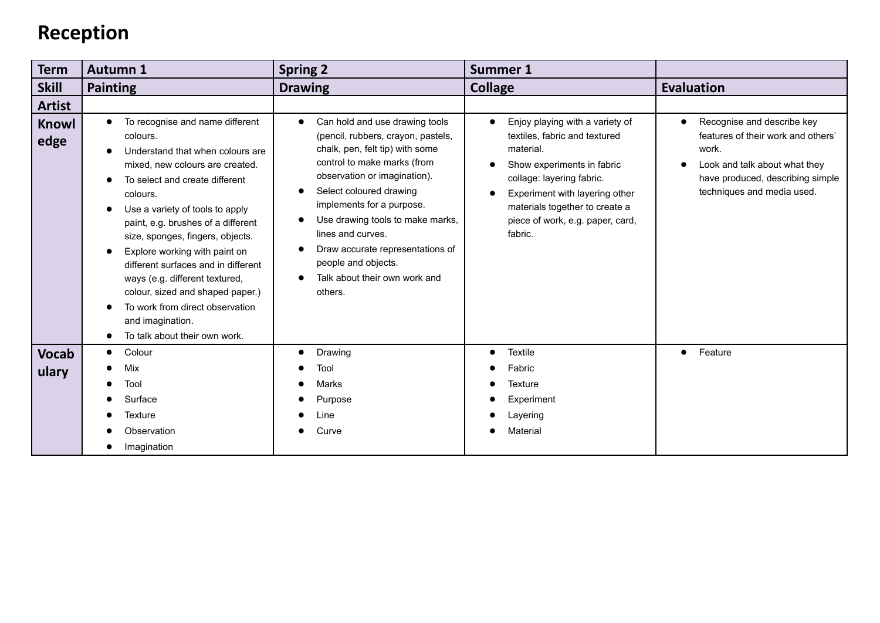### **Reception**

| <b>Term</b>           | <b>Autumn 1</b>                                                                                                                                                                                                                                                                                                                                                                                                                                                                                                                  | <b>Spring 2</b>                                                                                                                                                                                                                                                                                                                                                                                                  | <b>Summer 1</b>                                                                                                                                                                                                                                             |                                                                                                                                                                              |
|-----------------------|----------------------------------------------------------------------------------------------------------------------------------------------------------------------------------------------------------------------------------------------------------------------------------------------------------------------------------------------------------------------------------------------------------------------------------------------------------------------------------------------------------------------------------|------------------------------------------------------------------------------------------------------------------------------------------------------------------------------------------------------------------------------------------------------------------------------------------------------------------------------------------------------------------------------------------------------------------|-------------------------------------------------------------------------------------------------------------------------------------------------------------------------------------------------------------------------------------------------------------|------------------------------------------------------------------------------------------------------------------------------------------------------------------------------|
| <b>Skill</b>          | <b>Painting</b>                                                                                                                                                                                                                                                                                                                                                                                                                                                                                                                  | <b>Drawing</b>                                                                                                                                                                                                                                                                                                                                                                                                   | <b>Collage</b>                                                                                                                                                                                                                                              | <b>Evaluation</b>                                                                                                                                                            |
| <b>Artist</b>         |                                                                                                                                                                                                                                                                                                                                                                                                                                                                                                                                  |                                                                                                                                                                                                                                                                                                                                                                                                                  |                                                                                                                                                                                                                                                             |                                                                                                                                                                              |
| Knowl<br>edge         | To recognise and name different<br>$\bullet$<br>colours.<br>Understand that when colours are<br>mixed, new colours are created.<br>To select and create different<br>colours.<br>Use a variety of tools to apply<br>paint, e.g. brushes of a different<br>size, sponges, fingers, objects.<br>Explore working with paint on<br>different surfaces and in different<br>ways (e.g. different textured,<br>colour, sized and shaped paper.)<br>To work from direct observation<br>and imagination.<br>To talk about their own work. | Can hold and use drawing tools<br>$\bullet$<br>(pencil, rubbers, crayon, pastels,<br>chalk, pen, felt tip) with some<br>control to make marks (from<br>observation or imagination).<br>Select coloured drawing<br>implements for a purpose.<br>Use drawing tools to make marks,<br>lines and curves.<br>Draw accurate representations of<br>people and objects.<br>Talk about their own work and<br>0<br>others. | Enjoy playing with a variety of<br>textiles, fabric and textured<br>material.<br>Show experiments in fabric<br>collage: layering fabric.<br>Experiment with layering other<br>materials together to create a<br>piece of work, e.g. paper, card,<br>fabric. | Recognise and describe key<br>features of their work and others'<br>work.<br>Look and talk about what they<br>have produced, describing simple<br>techniques and media used. |
| <b>Vocab</b><br>ulary | Colour<br>$\bullet$<br>Mix<br>Tool<br>Surface<br>Texture<br>Observation<br>Imagination                                                                                                                                                                                                                                                                                                                                                                                                                                           | Drawing<br>Tool<br><b>Marks</b><br>Purpose<br>_ine<br>Curve                                                                                                                                                                                                                                                                                                                                                      | <b>Textile</b><br>Fabric<br><b>Texture</b><br>Experiment<br>Layering<br>Material                                                                                                                                                                            | Feature                                                                                                                                                                      |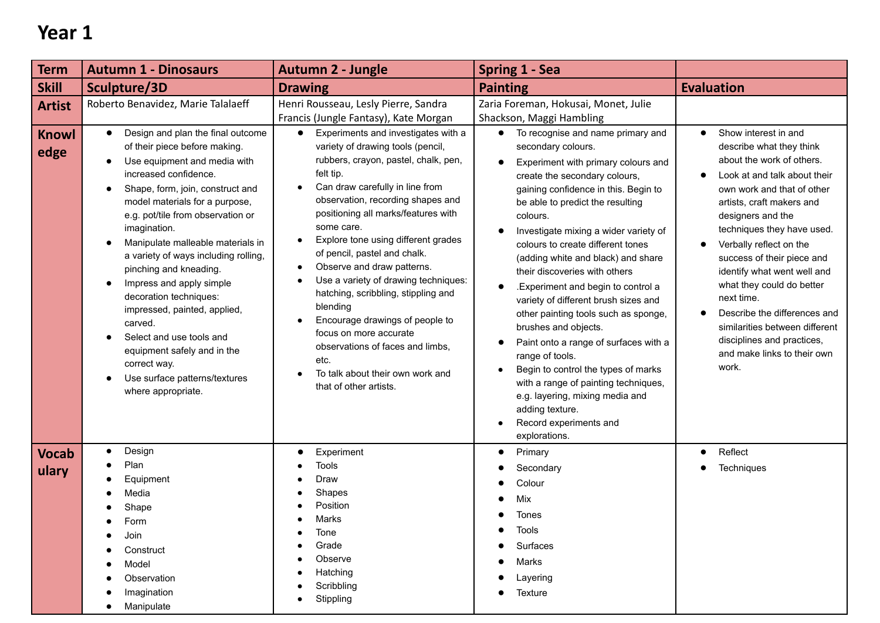| <b>Term</b>           | <b>Autumn 1 - Dinosaurs</b>                                                                                                                                                                                                                                                                                                                                                                                                                                                                                                                                                                                                | <b>Autumn 2 - Jungle</b>                                                                                                                                                                                                                                                                                                                                                                                                                                                                                                                                                                                                                                                                                        | <b>Spring 1 - Sea</b>                                                                                                                                                                                                                                                                                                                                                                                                                                                                                                                                                                                                                                                                                                                                                               |                                                                                                                                                                                                                                                                                                                                                                                                                                                                                                                     |
|-----------------------|----------------------------------------------------------------------------------------------------------------------------------------------------------------------------------------------------------------------------------------------------------------------------------------------------------------------------------------------------------------------------------------------------------------------------------------------------------------------------------------------------------------------------------------------------------------------------------------------------------------------------|-----------------------------------------------------------------------------------------------------------------------------------------------------------------------------------------------------------------------------------------------------------------------------------------------------------------------------------------------------------------------------------------------------------------------------------------------------------------------------------------------------------------------------------------------------------------------------------------------------------------------------------------------------------------------------------------------------------------|-------------------------------------------------------------------------------------------------------------------------------------------------------------------------------------------------------------------------------------------------------------------------------------------------------------------------------------------------------------------------------------------------------------------------------------------------------------------------------------------------------------------------------------------------------------------------------------------------------------------------------------------------------------------------------------------------------------------------------------------------------------------------------------|---------------------------------------------------------------------------------------------------------------------------------------------------------------------------------------------------------------------------------------------------------------------------------------------------------------------------------------------------------------------------------------------------------------------------------------------------------------------------------------------------------------------|
| <b>Skill</b>          | Sculpture/3D                                                                                                                                                                                                                                                                                                                                                                                                                                                                                                                                                                                                               | <b>Drawing</b>                                                                                                                                                                                                                                                                                                                                                                                                                                                                                                                                                                                                                                                                                                  | <b>Painting</b>                                                                                                                                                                                                                                                                                                                                                                                                                                                                                                                                                                                                                                                                                                                                                                     | <b>Evaluation</b>                                                                                                                                                                                                                                                                                                                                                                                                                                                                                                   |
| <b>Artist</b>         | Roberto Benavidez, Marie Talalaeff                                                                                                                                                                                                                                                                                                                                                                                                                                                                                                                                                                                         | Henri Rousseau, Lesly Pierre, Sandra<br>Francis (Jungle Fantasy), Kate Morgan                                                                                                                                                                                                                                                                                                                                                                                                                                                                                                                                                                                                                                   | Zaria Foreman, Hokusai, Monet, Julie<br>Shackson, Maggi Hambling                                                                                                                                                                                                                                                                                                                                                                                                                                                                                                                                                                                                                                                                                                                    |                                                                                                                                                                                                                                                                                                                                                                                                                                                                                                                     |
| <b>Knowl</b><br>edge  | Design and plan the final outcome<br>$\bullet$<br>of their piece before making.<br>Use equipment and media with<br>increased confidence.<br>Shape, form, join, construct and<br>model materials for a purpose,<br>e.g. pot/tile from observation or<br>imagination.<br>Manipulate malleable materials in<br>a variety of ways including rolling,<br>pinching and kneading.<br>Impress and apply simple<br>$\bullet$<br>decoration techniques:<br>impressed, painted, applied,<br>carved.<br>Select and use tools and<br>equipment safely and in the<br>correct way.<br>Use surface patterns/textures<br>where appropriate. | Experiments and investigates with a<br>$\bullet$<br>variety of drawing tools (pencil,<br>rubbers, crayon, pastel, chalk, pen,<br>felt tip.<br>Can draw carefully in line from<br>$\bullet$<br>observation, recording shapes and<br>positioning all marks/features with<br>some care.<br>Explore tone using different grades<br>$\bullet$<br>of pencil, pastel and chalk.<br>Observe and draw patterns.<br>$\bullet$<br>Use a variety of drawing techniques:<br>$\bullet$<br>hatching, scribbling, stippling and<br>blending<br>Encourage drawings of people to<br>$\bullet$<br>focus on more accurate<br>observations of faces and limbs,<br>etc.<br>To talk about their own work and<br>that of other artists. | To recognise and name primary and<br>$\bullet$<br>secondary colours.<br>Experiment with primary colours and<br>create the secondary colours,<br>gaining confidence in this. Begin to<br>be able to predict the resulting<br>colours.<br>Investigate mixing a wider variety of<br>colours to create different tones<br>(adding white and black) and share<br>their discoveries with others<br>.Experiment and begin to control a<br>variety of different brush sizes and<br>other painting tools such as sponge,<br>brushes and objects.<br>Paint onto a range of surfaces with a<br>range of tools.<br>Begin to control the types of marks<br>with a range of painting techniques,<br>e.g. layering, mixing media and<br>adding texture.<br>Record experiments and<br>explorations. | Show interest in and<br>$\bullet$<br>describe what they think<br>about the work of others.<br>Look at and talk about their<br>own work and that of other<br>artists, craft makers and<br>designers and the<br>techniques they have used.<br>Verbally reflect on the<br>success of their piece and<br>identify what went well and<br>what they could do better<br>next time.<br>Describe the differences and<br>similarities between different<br>disciplines and practices,<br>and make links to their own<br>work. |
| <b>Vocab</b><br>ulary | Design<br>$\bullet$<br>Plan<br>Equipment<br>Media<br>Shape<br>Form<br>Join<br>$\bullet$<br>Construct<br>Model<br>Observation<br>Imagination<br>Manipulate                                                                                                                                                                                                                                                                                                                                                                                                                                                                  | Experiment<br>Tools<br>Draw<br>Shapes<br>Position<br>Marks<br>Tone<br>Grade<br>Observe<br>Hatching<br>Scribbling<br>Stippling                                                                                                                                                                                                                                                                                                                                                                                                                                                                                                                                                                                   | Primary<br>$\bullet$<br>Secondary<br>Colour<br>Mix<br>Tones<br>loois<br>Surfaces<br>Marks<br>Layering<br>Texture                                                                                                                                                                                                                                                                                                                                                                                                                                                                                                                                                                                                                                                                    | Reflect<br>$\bullet$<br>Techniques                                                                                                                                                                                                                                                                                                                                                                                                                                                                                  |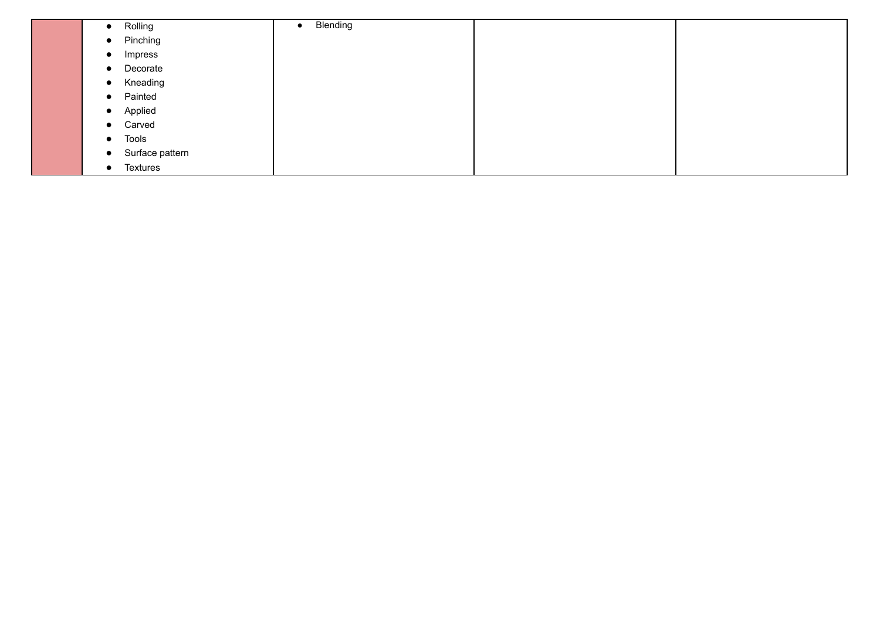| Rolling<br>$\bullet$         | Blending<br>$\bullet$ |  |
|------------------------------|-----------------------|--|
| Pinching<br>$\bullet$        |                       |  |
| Impress<br>$\bullet$         |                       |  |
| Decorate<br>$\bullet$        |                       |  |
| Kneading<br>$\bullet$        |                       |  |
| Painted<br>$\bullet$         |                       |  |
| Applied<br>$\bullet$         |                       |  |
| Carved<br>$\bullet$          |                       |  |
| Tools<br>$\bullet$           |                       |  |
| Surface pattern<br>$\bullet$ |                       |  |
| Textures<br>$\bullet$        |                       |  |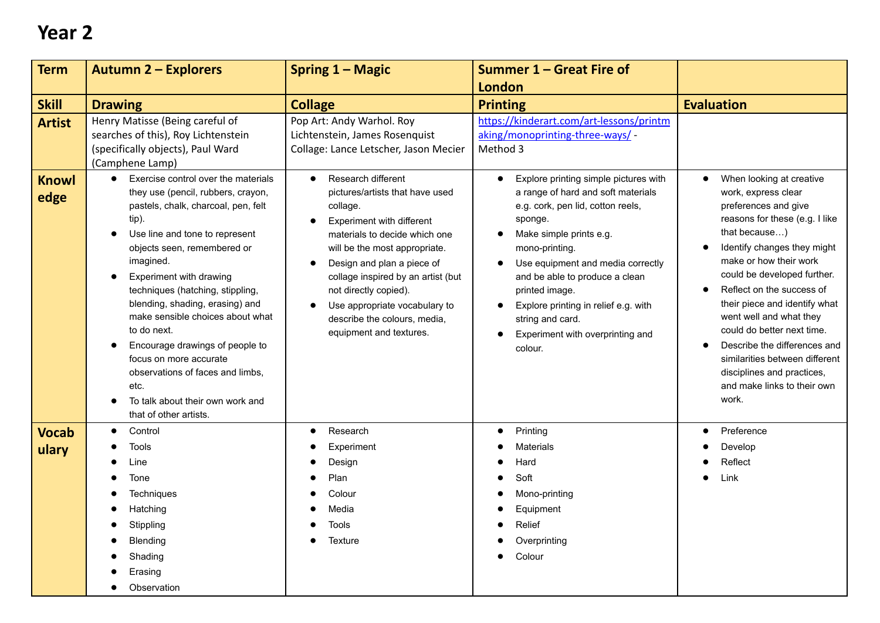| <b>Term</b>                           | <b>Autumn 2 - Explorers</b>                                                                                                                                                                                                                                                                                                                                                                                                               | Spring 1 - Magic                                                                                                                                                                                                                                                                     | Summer 1 - Great Fire of                                                                                                                                                                                                                                                           |                                                                                                                                                                                                                                                                                                                                                                                                        |
|---------------------------------------|-------------------------------------------------------------------------------------------------------------------------------------------------------------------------------------------------------------------------------------------------------------------------------------------------------------------------------------------------------------------------------------------------------------------------------------------|--------------------------------------------------------------------------------------------------------------------------------------------------------------------------------------------------------------------------------------------------------------------------------------|------------------------------------------------------------------------------------------------------------------------------------------------------------------------------------------------------------------------------------------------------------------------------------|--------------------------------------------------------------------------------------------------------------------------------------------------------------------------------------------------------------------------------------------------------------------------------------------------------------------------------------------------------------------------------------------------------|
|                                       |                                                                                                                                                                                                                                                                                                                                                                                                                                           |                                                                                                                                                                                                                                                                                      | <b>London</b>                                                                                                                                                                                                                                                                      |                                                                                                                                                                                                                                                                                                                                                                                                        |
| <b>Skill</b>                          | <b>Drawing</b>                                                                                                                                                                                                                                                                                                                                                                                                                            | <b>Collage</b>                                                                                                                                                                                                                                                                       | <b>Printing</b>                                                                                                                                                                                                                                                                    | <b>Evaluation</b>                                                                                                                                                                                                                                                                                                                                                                                      |
| <b>Artist</b><br><b>Knowl</b><br>edge | Henry Matisse (Being careful of<br>searches of this), Roy Lichtenstein<br>(specifically objects), Paul Ward<br>(Camphene Lamp)<br>Exercise control over the materials<br>$\bullet$<br>they use (pencil, rubbers, crayon,<br>pastels, chalk, charcoal, pen, felt                                                                                                                                                                           | Pop Art: Andy Warhol. Roy<br>Lichtenstein, James Rosenquist<br>Collage: Lance Letscher, Jason Mecier<br>Research different<br>$\bullet$<br>pictures/artists that have used<br>collage.                                                                                               | https://kinderart.com/art-lessons/printm<br>aking/monoprinting-three-ways/ -<br>Method 3<br>Explore printing simple pictures with<br>a range of hard and soft materials<br>e.g. cork, pen lid, cotton reels,                                                                       | When looking at creative<br>$\bullet$<br>work, express clear<br>preferences and give                                                                                                                                                                                                                                                                                                                   |
|                                       | tip).<br>Use line and tone to represent<br>$\bullet$<br>objects seen, remembered or<br>imagined.<br>Experiment with drawing<br>techniques (hatching, stippling,<br>blending, shading, erasing) and<br>make sensible choices about what<br>to do next.<br>Encourage drawings of people to<br>$\bullet$<br>focus on more accurate<br>observations of faces and limbs.<br>etc.<br>To talk about their own work and<br>that of other artists. | Experiment with different<br>materials to decide which one<br>will be the most appropriate.<br>Design and plan a piece of<br>collage inspired by an artist (but<br>not directly copied).<br>Use appropriate vocabulary to<br>describe the colours, media,<br>equipment and textures. | sponge.<br>Make simple prints e.g.<br>mono-printing.<br>Use equipment and media correctly<br>and be able to produce a clean<br>printed image.<br>Explore printing in relief e.g. with<br>$\bullet$<br>string and card.<br>Experiment with overprinting and<br>$\bullet$<br>colour. | reasons for these (e.g. I like<br>that because)<br>Identify changes they might<br>make or how their work<br>could be developed further.<br>Reflect on the success of<br>their piece and identify what<br>went well and what they<br>could do better next time.<br>Describe the differences and<br>similarities between different<br>disciplines and practices,<br>and make links to their own<br>work. |
| <b>Vocab</b><br>ulary                 | Control<br>$\bullet$<br><b>Tools</b><br>Line<br>Tone                                                                                                                                                                                                                                                                                                                                                                                      | Research<br>$\bullet$<br>Experiment<br>Design<br>Plan                                                                                                                                                                                                                                | Printing<br><b>Materials</b><br>Hard<br>Soft                                                                                                                                                                                                                                       | Preference<br>$\bullet$<br>Develop<br>Reflect<br>Link                                                                                                                                                                                                                                                                                                                                                  |
|                                       | <b>Techniques</b><br>Hatching<br>Stippling<br><b>Blending</b><br>Shading                                                                                                                                                                                                                                                                                                                                                                  | Colour<br>Media<br><b>Tools</b><br><b>Texture</b>                                                                                                                                                                                                                                    | Mono-printing<br>Equipment<br>Relief<br>Overprinting<br>Colour                                                                                                                                                                                                                     |                                                                                                                                                                                                                                                                                                                                                                                                        |
|                                       | Erasing<br>Observation                                                                                                                                                                                                                                                                                                                                                                                                                    |                                                                                                                                                                                                                                                                                      |                                                                                                                                                                                                                                                                                    |                                                                                                                                                                                                                                                                                                                                                                                                        |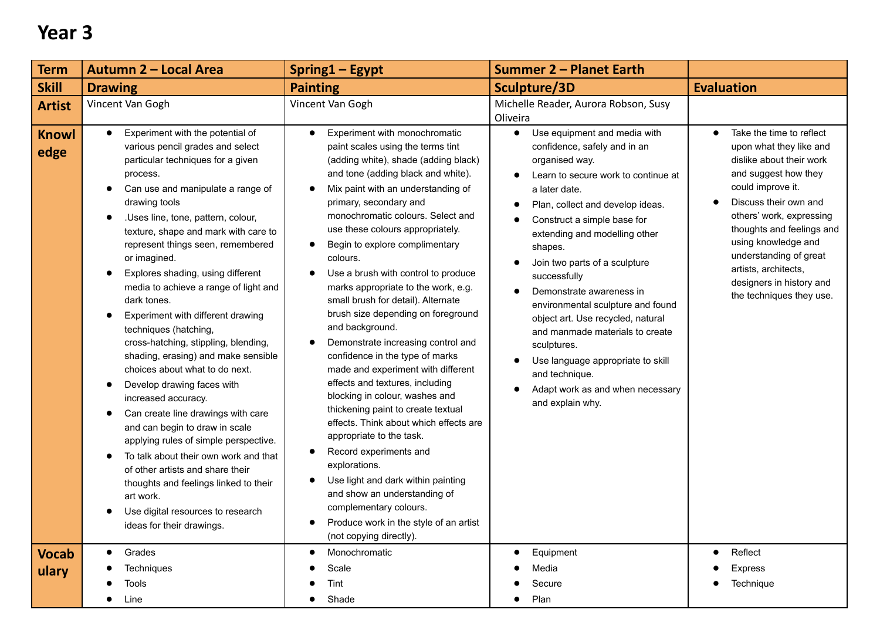| <b>Term</b>                           | Autumn 2 - Local Area                                                                                                                                                                                                                                                                                                                                                                                                                                                                                                                                                                                                                    | <b>Spring1-Egypt</b>                                                                                                                                                                                                                                                                                                                                                                                                                                                                                                                                                                                                                                                 | <b>Summer 2 - Planet Earth</b>                                                                                                                                                                                                                                                                                                                          |                                                                                                                                                                                                                                                                                                                   |
|---------------------------------------|------------------------------------------------------------------------------------------------------------------------------------------------------------------------------------------------------------------------------------------------------------------------------------------------------------------------------------------------------------------------------------------------------------------------------------------------------------------------------------------------------------------------------------------------------------------------------------------------------------------------------------------|----------------------------------------------------------------------------------------------------------------------------------------------------------------------------------------------------------------------------------------------------------------------------------------------------------------------------------------------------------------------------------------------------------------------------------------------------------------------------------------------------------------------------------------------------------------------------------------------------------------------------------------------------------------------|---------------------------------------------------------------------------------------------------------------------------------------------------------------------------------------------------------------------------------------------------------------------------------------------------------------------------------------------------------|-------------------------------------------------------------------------------------------------------------------------------------------------------------------------------------------------------------------------------------------------------------------------------------------------------------------|
| <b>Skill</b>                          | <b>Drawing</b>                                                                                                                                                                                                                                                                                                                                                                                                                                                                                                                                                                                                                           | <b>Painting</b>                                                                                                                                                                                                                                                                                                                                                                                                                                                                                                                                                                                                                                                      | Sculpture/3D                                                                                                                                                                                                                                                                                                                                            | <b>Evaluation</b>                                                                                                                                                                                                                                                                                                 |
| <b>Artist</b><br><b>Knowl</b><br>edge | Vincent Van Gogh<br>Experiment with the potential of<br>$\bullet$<br>various pencil grades and select<br>particular techniques for a given<br>process.<br>Can use and manipulate a range of<br>$\bullet$<br>drawing tools<br>.Uses line, tone, pattern, colour,<br>$\bullet$<br>texture, shape and mark with care to<br>represent things seen, remembered<br>or imagined.<br>Explores shading, using different<br>$\bullet$                                                                                                                                                                                                              | Vincent Van Gogh<br>Experiment with monochromatic<br>$\bullet$<br>paint scales using the terms tint<br>(adding white), shade (adding black)<br>and tone (adding black and white).<br>Mix paint with an understanding of<br>$\bullet$<br>primary, secondary and<br>monochromatic colours. Select and<br>use these colours appropriately.<br>Begin to explore complimentary<br>colours.<br>Use a brush with control to produce                                                                                                                                                                                                                                         | Michelle Reader, Aurora Robson, Susy<br>Oliveira<br>Use equipment and media with<br>$\bullet$<br>confidence, safely and in an<br>organised way.<br>Learn to secure work to continue at<br>a later date.<br>Plan, collect and develop ideas.<br>Construct a simple base for<br>extending and modelling other<br>shapes.<br>Join two parts of a sculpture | Take the time to reflect<br>$\bullet$<br>upon what they like and<br>dislike about their work<br>and suggest how they<br>could improve it.<br>Discuss their own and<br>$\bullet$<br>others' work, expressing<br>thoughts and feelings and<br>using knowledge and<br>understanding of great<br>artists, architects, |
|                                       | media to achieve a range of light and<br>dark tones.<br>Experiment with different drawing<br>$\bullet$<br>techniques (hatching,<br>cross-hatching, stippling, blending,<br>shading, erasing) and make sensible<br>choices about what to do next.<br>Develop drawing faces with<br>increased accuracy.<br>Can create line drawings with care<br>and can begin to draw in scale<br>applying rules of simple perspective.<br>To talk about their own work and that<br>of other artists and share their<br>thoughts and feelings linked to their<br>art work.<br>Use digital resources to research<br>$\bullet$<br>ideas for their drawings. | marks appropriate to the work, e.g.<br>small brush for detail). Alternate<br>brush size depending on foreground<br>and background.<br>Demonstrate increasing control and<br>confidence in the type of marks<br>made and experiment with different<br>effects and textures, including<br>blocking in colour, washes and<br>thickening paint to create textual<br>effects. Think about which effects are<br>appropriate to the task.<br>Record experiments and<br>٠<br>explorations.<br>Use light and dark within painting<br>$\bullet$<br>and show an understanding of<br>complementary colours.<br>Produce work in the style of an artist<br>(not copying directly). | successfully<br>Demonstrate awareness in<br>environmental sculpture and found<br>object art. Use recycled, natural<br>and manmade materials to create<br>sculptures.<br>Use language appropriate to skill<br>and technique.<br>Adapt work as and when necessary<br>and explain why.                                                                     | designers in history and<br>the techniques they use.                                                                                                                                                                                                                                                              |
| <b>Vocab</b>                          | Grades<br>$\bullet$                                                                                                                                                                                                                                                                                                                                                                                                                                                                                                                                                                                                                      | Monochromatic<br>$\bullet$                                                                                                                                                                                                                                                                                                                                                                                                                                                                                                                                                                                                                                           | Equipment                                                                                                                                                                                                                                                                                                                                               | Reflect                                                                                                                                                                                                                                                                                                           |
| ulary                                 | Techniques                                                                                                                                                                                                                                                                                                                                                                                                                                                                                                                                                                                                                               | Scale                                                                                                                                                                                                                                                                                                                                                                                                                                                                                                                                                                                                                                                                | Media                                                                                                                                                                                                                                                                                                                                                   | <b>Express</b>                                                                                                                                                                                                                                                                                                    |
|                                       | <b>Tools</b><br>Line                                                                                                                                                                                                                                                                                                                                                                                                                                                                                                                                                                                                                     | Tint<br>Shade                                                                                                                                                                                                                                                                                                                                                                                                                                                                                                                                                                                                                                                        | Secure<br>Plan<br>$\bullet$                                                                                                                                                                                                                                                                                                                             | Technique                                                                                                                                                                                                                                                                                                         |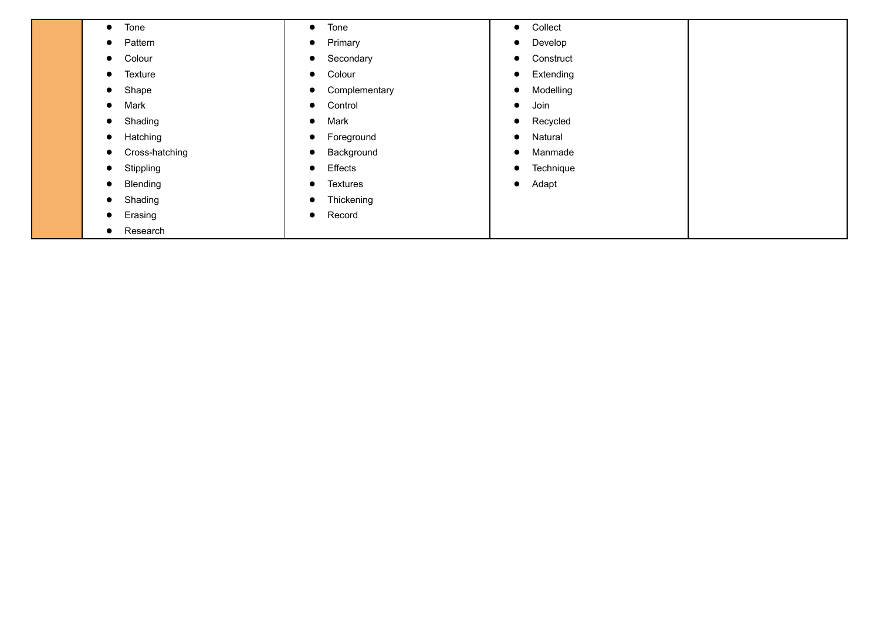| Tone<br>$\bullet$     | Tone<br>$\bullet$       | • Collect            |
|-----------------------|-------------------------|----------------------|
| Pattern               | Primary                 | Develop              |
| $\bullet$             | $\bullet$               | $\bullet$            |
| Colour                | Secondary               | Construct            |
| $\bullet$             | $\bullet$               | $\bullet$            |
| Texture               | Colour                  | Extending            |
| $\bullet$             | $\bullet$               | $\bullet$            |
| Shape                 | Complementary           | Modelling            |
| $\bullet$             | $\bullet$               | $\bullet$            |
| Mark                  | Control                 | Join                 |
| $\bullet$             | $\bullet$               | $\bullet$            |
| Shading               | Mark                    | Recycled             |
| $\bullet$             | $\bullet$               | $\bullet$            |
| Hatching              | Foreground              | Natural              |
| $\bullet$             | $\bullet$               | $\bullet$            |
| Cross-hatching        | Background<br>$\bullet$ | Manmade<br>$\bullet$ |
| Stippling             | Effects                 | Technique            |
| $\bullet$             | $\bullet$               | $\bullet$            |
| Blending              | Textures                | Adapt                |
| $\bullet$             | $\bullet$               | $\bullet$            |
| Shading<br>$\bullet$  | Thickening<br>$\bullet$ |                      |
| Erasing<br>$\bullet$  | Record<br>$\bullet$     |                      |
| Research<br>$\bullet$ |                         |                      |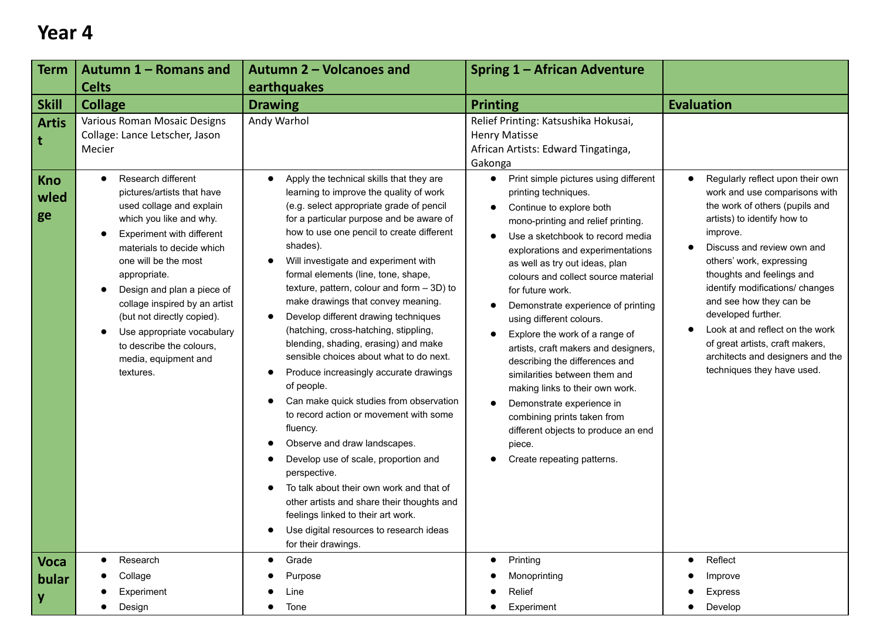| Term                                                      | Autumn 1 - Romans and                                                                                                                                                                                                                                                                                                                                                                                                                                                                                       | <b>Autumn 2 - Volcanoes and</b>                                                                                                                                                                                                                                                                                                                                                                                                                                                                                                                                                                                                                                                                                                                                                       | <b>Spring 1 - African Adventure</b>                                                                                                                                                                                                                                                                                                                                                                                                                                                                                                                                                                                                                                                                                                                                                                 |                                                                                                                                                                                                                                                                                                                                                                                                                                                                   |
|-----------------------------------------------------------|-------------------------------------------------------------------------------------------------------------------------------------------------------------------------------------------------------------------------------------------------------------------------------------------------------------------------------------------------------------------------------------------------------------------------------------------------------------------------------------------------------------|---------------------------------------------------------------------------------------------------------------------------------------------------------------------------------------------------------------------------------------------------------------------------------------------------------------------------------------------------------------------------------------------------------------------------------------------------------------------------------------------------------------------------------------------------------------------------------------------------------------------------------------------------------------------------------------------------------------------------------------------------------------------------------------|-----------------------------------------------------------------------------------------------------------------------------------------------------------------------------------------------------------------------------------------------------------------------------------------------------------------------------------------------------------------------------------------------------------------------------------------------------------------------------------------------------------------------------------------------------------------------------------------------------------------------------------------------------------------------------------------------------------------------------------------------------------------------------------------------------|-------------------------------------------------------------------------------------------------------------------------------------------------------------------------------------------------------------------------------------------------------------------------------------------------------------------------------------------------------------------------------------------------------------------------------------------------------------------|
|                                                           | <b>Celts</b>                                                                                                                                                                                                                                                                                                                                                                                                                                                                                                | earthquakes                                                                                                                                                                                                                                                                                                                                                                                                                                                                                                                                                                                                                                                                                                                                                                           |                                                                                                                                                                                                                                                                                                                                                                                                                                                                                                                                                                                                                                                                                                                                                                                                     |                                                                                                                                                                                                                                                                                                                                                                                                                                                                   |
|                                                           | <b>Collage</b>                                                                                                                                                                                                                                                                                                                                                                                                                                                                                              | <b>Drawing</b>                                                                                                                                                                                                                                                                                                                                                                                                                                                                                                                                                                                                                                                                                                                                                                        | <b>Printing</b>                                                                                                                                                                                                                                                                                                                                                                                                                                                                                                                                                                                                                                                                                                                                                                                     | <b>Evaluation</b>                                                                                                                                                                                                                                                                                                                                                                                                                                                 |
| <b>Skill</b><br><b>Artis</b><br>∣t<br>Kno<br>wled<br>  ge | Various Roman Mosaic Designs<br>Collage: Lance Letscher, Jason<br>Mecier<br>Research different<br>$\bullet$<br>pictures/artists that have<br>used collage and explain<br>which you like and why.<br>Experiment with different<br>materials to decide which<br>one will be the most<br>appropriate.<br>Design and plan a piece of<br>collage inspired by an artist<br>(but not directly copied).<br>Use appropriate vocabulary<br>$\bullet$<br>to describe the colours,<br>media, equipment and<br>textures. | Andy Warhol<br>Apply the technical skills that they are<br>learning to improve the quality of work<br>(e.g. select appropriate grade of pencil<br>for a particular purpose and be aware of<br>how to use one pencil to create different<br>shades).<br>Will investigate and experiment with<br>formal elements (line, tone, shape,<br>texture, pattern, colour and form $-3D$ ) to<br>make drawings that convey meaning.<br>Develop different drawing techniques<br>(hatching, cross-hatching, stippling,<br>blending, shading, erasing) and make<br>sensible choices about what to do next.<br>Produce increasingly accurate drawings<br>of people.<br>Can make quick studies from observation<br>to record action or movement with some<br>fluency.<br>Observe and draw landscapes. | Relief Printing: Katsushika Hokusai,<br><b>Henry Matisse</b><br>African Artists: Edward Tingatinga,<br>Gakonga<br>Print simple pictures using different<br>$\bullet$<br>printing techniques.<br>Continue to explore both<br>mono-printing and relief printing.<br>Use a sketchbook to record media<br>explorations and experimentations<br>as well as try out ideas, plan<br>colours and collect source material<br>for future work.<br>Demonstrate experience of printing<br>using different colours.<br>Explore the work of a range of<br>artists, craft makers and designers,<br>describing the differences and<br>similarities between them and<br>making links to their own work.<br>Demonstrate experience in<br>combining prints taken from<br>different objects to produce an end<br>piece. | Regularly reflect upon their own<br>work and use comparisons with<br>the work of others (pupils and<br>artists) to identify how to<br>improve.<br>Discuss and review own and<br>others' work, expressing<br>thoughts and feelings and<br>identify modifications/ changes<br>and see how they can be<br>developed further.<br>Look at and reflect on the work<br>of great artists, craft makers,<br>architects and designers and the<br>techniques they have used. |
|                                                           |                                                                                                                                                                                                                                                                                                                                                                                                                                                                                                             | Develop use of scale, proportion and<br>perspective.<br>To talk about their own work and that of<br>other artists and share their thoughts and<br>feelings linked to their art work.<br>Use digital resources to research ideas<br>for their drawings.                                                                                                                                                                                                                                                                                                                                                                                                                                                                                                                                | Create repeating patterns.                                                                                                                                                                                                                                                                                                                                                                                                                                                                                                                                                                                                                                                                                                                                                                          |                                                                                                                                                                                                                                                                                                                                                                                                                                                                   |
| <b>Voca</b>                                               | Research<br>$\bullet$                                                                                                                                                                                                                                                                                                                                                                                                                                                                                       | Grade<br>$\bullet$                                                                                                                                                                                                                                                                                                                                                                                                                                                                                                                                                                                                                                                                                                                                                                    | Printing<br>$\bullet$                                                                                                                                                                                                                                                                                                                                                                                                                                                                                                                                                                                                                                                                                                                                                                               | Reflect                                                                                                                                                                                                                                                                                                                                                                                                                                                           |
| bular                                                     | Collage                                                                                                                                                                                                                                                                                                                                                                                                                                                                                                     | Purpose                                                                                                                                                                                                                                                                                                                                                                                                                                                                                                                                                                                                                                                                                                                                                                               | Monoprinting                                                                                                                                                                                                                                                                                                                                                                                                                                                                                                                                                                                                                                                                                                                                                                                        | Improve                                                                                                                                                                                                                                                                                                                                                                                                                                                           |
| y                                                         | Experiment                                                                                                                                                                                                                                                                                                                                                                                                                                                                                                  | Line                                                                                                                                                                                                                                                                                                                                                                                                                                                                                                                                                                                                                                                                                                                                                                                  | Relief                                                                                                                                                                                                                                                                                                                                                                                                                                                                                                                                                                                                                                                                                                                                                                                              | <b>Express</b>                                                                                                                                                                                                                                                                                                                                                                                                                                                    |
|                                                           | Design                                                                                                                                                                                                                                                                                                                                                                                                                                                                                                      | Tone<br>$\bullet$                                                                                                                                                                                                                                                                                                                                                                                                                                                                                                                                                                                                                                                                                                                                                                     | Experiment                                                                                                                                                                                                                                                                                                                                                                                                                                                                                                                                                                                                                                                                                                                                                                                          | Develop                                                                                                                                                                                                                                                                                                                                                                                                                                                           |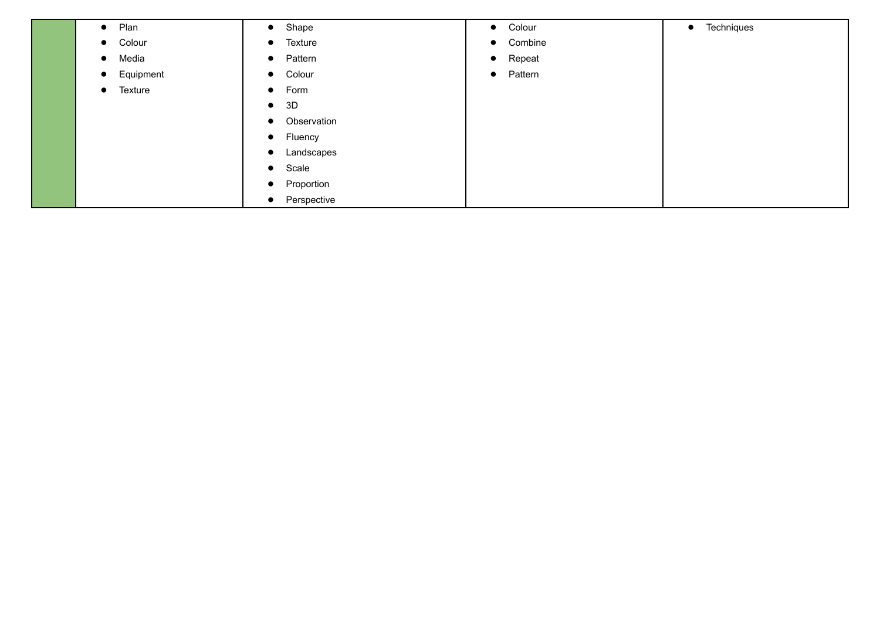| Plan<br>$\bullet$      | Shape<br>$\bullet$       | Colour<br>$\bullet$  | Techniques<br>$\bullet$ |
|------------------------|--------------------------|----------------------|-------------------------|
| Colour<br>$\bullet$    | Texture<br>$\bullet$     | Combine<br>$\bullet$ |                         |
| Media<br>$\bullet$     | Pattern<br>$\bullet$     | Repeat<br>$\bullet$  |                         |
| Equipment<br>$\bullet$ | Colour<br>$\bullet$      | Pattern<br>$\bullet$ |                         |
| Texture<br>$\bullet$   | Form<br>$\bullet$        |                      |                         |
|                        | 3D<br>$\bullet$          |                      |                         |
|                        | Observation<br>$\bullet$ |                      |                         |
|                        | Fluency<br>$\bullet$     |                      |                         |
|                        | Landscapes<br>$\bullet$  |                      |                         |
|                        | Scale<br>$\bullet$       |                      |                         |
|                        | Proportion<br>$\bullet$  |                      |                         |
|                        | Perspective<br>$\bullet$ |                      |                         |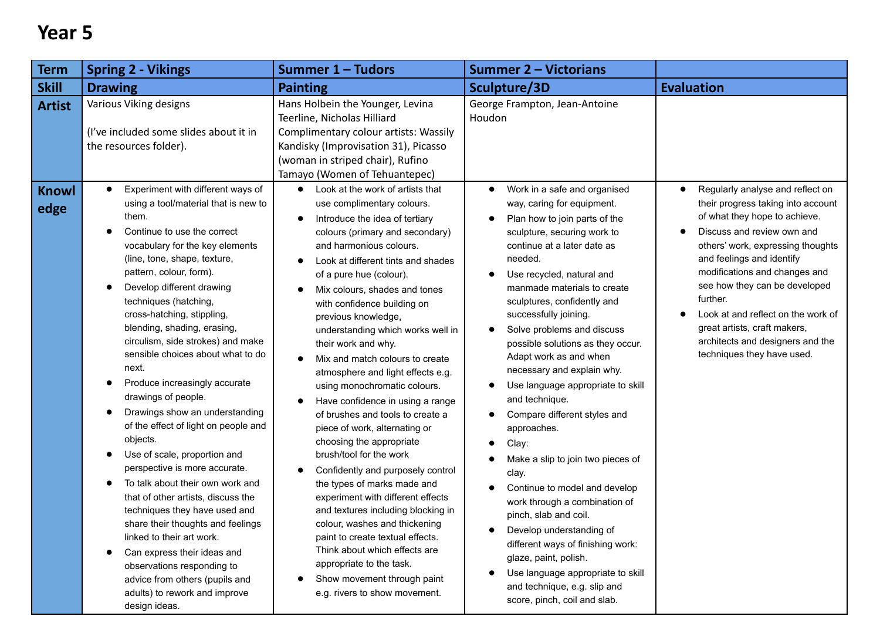| <b>Term</b>                   | <b>Spring 2 - Vikings</b>                                                                                                                                                                                                                                                                                                                                                                                                                                                                                                                                                                                                                                                                                                                                                                                                                                                                          | Summer 1 - Tudors                                                                                                                                                                                                                                                                                                                                                                                                                                                                                                                                                                                                                                                                                                                                                                                                                                                                                                                                                                                    | <b>Summer 2 – Victorians</b>                                                                                                                                                                                                                                                                                                                                                                                                                                                                                                                                                                                                                                                                                                                                                                                                           |                                                                                                                                                                                                                                                                                                                                                     |
|-------------------------------|----------------------------------------------------------------------------------------------------------------------------------------------------------------------------------------------------------------------------------------------------------------------------------------------------------------------------------------------------------------------------------------------------------------------------------------------------------------------------------------------------------------------------------------------------------------------------------------------------------------------------------------------------------------------------------------------------------------------------------------------------------------------------------------------------------------------------------------------------------------------------------------------------|------------------------------------------------------------------------------------------------------------------------------------------------------------------------------------------------------------------------------------------------------------------------------------------------------------------------------------------------------------------------------------------------------------------------------------------------------------------------------------------------------------------------------------------------------------------------------------------------------------------------------------------------------------------------------------------------------------------------------------------------------------------------------------------------------------------------------------------------------------------------------------------------------------------------------------------------------------------------------------------------------|----------------------------------------------------------------------------------------------------------------------------------------------------------------------------------------------------------------------------------------------------------------------------------------------------------------------------------------------------------------------------------------------------------------------------------------------------------------------------------------------------------------------------------------------------------------------------------------------------------------------------------------------------------------------------------------------------------------------------------------------------------------------------------------------------------------------------------------|-----------------------------------------------------------------------------------------------------------------------------------------------------------------------------------------------------------------------------------------------------------------------------------------------------------------------------------------------------|
| <b>Skill</b>                  | <b>Drawing</b>                                                                                                                                                                                                                                                                                                                                                                                                                                                                                                                                                                                                                                                                                                                                                                                                                                                                                     | <b>Painting</b>                                                                                                                                                                                                                                                                                                                                                                                                                                                                                                                                                                                                                                                                                                                                                                                                                                                                                                                                                                                      | Sculpture/3D                                                                                                                                                                                                                                                                                                                                                                                                                                                                                                                                                                                                                                                                                                                                                                                                                           | <b>Evaluation</b>                                                                                                                                                                                                                                                                                                                                   |
| <b>Artist</b><br><b>Knowl</b> | Various Viking designs<br>(I've included some slides about it in<br>the resources folder).<br>Experiment with different ways of<br>$\bullet$<br>using a tool/material that is new to                                                                                                                                                                                                                                                                                                                                                                                                                                                                                                                                                                                                                                                                                                               | Hans Holbein the Younger, Levina<br>Teerline, Nicholas Hilliard<br>Complimentary colour artists: Wassily<br>Kandisky (Improvisation 31), Picasso<br>(woman in striped chair), Rufino<br>Tamayo (Women of Tehuantepec)<br>Look at the work of artists that<br>$\bullet$<br>use complimentary colours.                                                                                                                                                                                                                                                                                                                                                                                                                                                                                                                                                                                                                                                                                                 | George Frampton, Jean-Antoine<br>Houdon<br>Work in a safe and organised<br>$\bullet$<br>way, caring for equipment.                                                                                                                                                                                                                                                                                                                                                                                                                                                                                                                                                                                                                                                                                                                     | Regularly analyse and reflect on<br>their progress taking into account                                                                                                                                                                                                                                                                              |
| edge                          | them.<br>Continue to use the correct<br>vocabulary for the key elements<br>(line, tone, shape, texture,<br>pattern, colour, form).<br>Develop different drawing<br>techniques (hatching,<br>cross-hatching, stippling,<br>blending, shading, erasing,<br>circulism, side strokes) and make<br>sensible choices about what to do<br>next.<br>Produce increasingly accurate<br>drawings of people.<br>Drawings show an understanding<br>of the effect of light on people and<br>objects.<br>Use of scale, proportion and<br>perspective is more accurate.<br>To talk about their own work and<br>that of other artists, discuss the<br>techniques they have used and<br>share their thoughts and feelings<br>linked to their art work.<br>Can express their ideas and<br>$\bullet$<br>observations responding to<br>advice from others (pupils and<br>adults) to rework and improve<br>design ideas. | Introduce the idea of tertiary<br>٠<br>colours (primary and secondary)<br>and harmonious colours.<br>Look at different tints and shades<br>$\bullet$<br>of a pure hue (colour).<br>Mix colours, shades and tones<br>$\bullet$<br>with confidence building on<br>previous knowledge,<br>understanding which works well in<br>their work and why.<br>Mix and match colours to create<br>$\bullet$<br>atmosphere and light effects e.g.<br>using monochromatic colours.<br>Have confidence in using a range<br>€<br>of brushes and tools to create a<br>piece of work, alternating or<br>choosing the appropriate<br>brush/tool for the work<br>Confidently and purposely control<br>€<br>the types of marks made and<br>experiment with different effects<br>and textures including blocking in<br>colour, washes and thickening<br>paint to create textual effects.<br>Think about which effects are<br>appropriate to the task.<br>Show movement through paint<br>٠<br>e.g. rivers to show movement. | Plan how to join parts of the<br>sculpture, securing work to<br>continue at a later date as<br>needed.<br>Use recycled, natural and<br>manmade materials to create<br>sculptures, confidently and<br>successfully joining.<br>Solve problems and discuss<br>$\bullet$<br>possible solutions as they occur.<br>Adapt work as and when<br>necessary and explain why.<br>Use language appropriate to skill<br>and technique.<br>Compare different styles and<br>$\bullet$<br>approaches.<br>Clay:<br>Make a slip to join two pieces of<br>clay.<br>Continue to model and develop<br>work through a combination of<br>pinch, slab and coil.<br>Develop understanding of<br>different ways of finishing work:<br>glaze, paint, polish.<br>Use language appropriate to skill<br>and technique, e.g. slip and<br>score, pinch, coil and slab. | of what they hope to achieve.<br>Discuss and review own and<br>others' work, expressing thoughts<br>and feelings and identify<br>modifications and changes and<br>see how they can be developed<br>further.<br>Look at and reflect on the work of<br>great artists, craft makers,<br>architects and designers and the<br>techniques they have used. |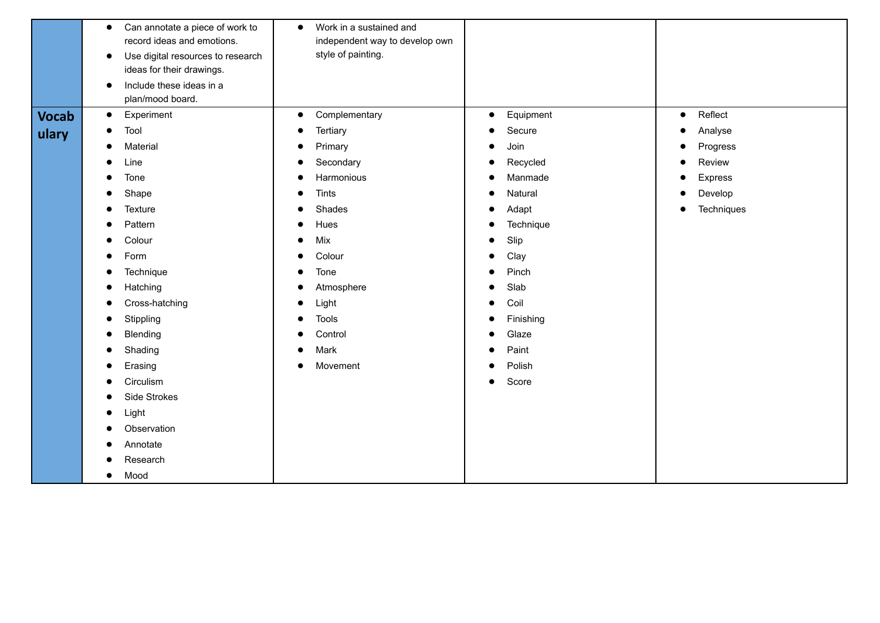|              | Can annotate a piece of work to<br>$\bullet$<br>record ideas and emotions.<br>Use digital resources to research<br>$\bullet$<br>ideas for their drawings.<br>Include these ideas in a<br>$\bullet$<br>plan/mood board. | Work in a sustained and<br>$\bullet$<br>independent way to develop own<br>style of painting. |                        |                      |  |
|--------------|------------------------------------------------------------------------------------------------------------------------------------------------------------------------------------------------------------------------|----------------------------------------------------------------------------------------------|------------------------|----------------------|--|
| <b>Vocab</b> | Experiment<br>$\bullet$                                                                                                                                                                                                | Complementary<br>$\bullet$                                                                   | Equipment<br>$\bullet$ | Reflect<br>$\bullet$ |  |
| ulary        | Tool                                                                                                                                                                                                                   | Tertiary                                                                                     | Secure                 | Analyse<br>- 0       |  |
|              | Material                                                                                                                                                                                                               | Primary                                                                                      | Join                   | Progress             |  |
|              | Line                                                                                                                                                                                                                   | Secondary                                                                                    | Recycled               | Review<br>- 0        |  |
|              | Tone                                                                                                                                                                                                                   | Harmonious                                                                                   | Manmade                | Express              |  |
|              | Shape                                                                                                                                                                                                                  | Tints                                                                                        | Natural                | Develop              |  |
|              | Texture                                                                                                                                                                                                                | Shades                                                                                       | Adapt                  | Techniques           |  |
|              | Pattern                                                                                                                                                                                                                | Hues                                                                                         | Technique              |                      |  |
|              | Colour                                                                                                                                                                                                                 | Mix                                                                                          | Slip                   |                      |  |
|              | Form                                                                                                                                                                                                                   | Colour                                                                                       | Clay                   |                      |  |
|              | Technique<br>$\bullet$                                                                                                                                                                                                 | Tone                                                                                         | Pinch                  |                      |  |
|              | Hatching                                                                                                                                                                                                               | Atmosphere                                                                                   | Slab                   |                      |  |
|              | Cross-hatching                                                                                                                                                                                                         | Light                                                                                        | Coil                   |                      |  |
|              | Stippling                                                                                                                                                                                                              | <b>Tools</b>                                                                                 | Finishing              |                      |  |
|              | Blending                                                                                                                                                                                                               | Control                                                                                      | Glaze                  |                      |  |
|              | Shading                                                                                                                                                                                                                | Mark                                                                                         | Paint                  |                      |  |
|              | Erasing                                                                                                                                                                                                                | Movement<br>$\bullet$                                                                        | Polish                 |                      |  |
|              | Circulism                                                                                                                                                                                                              |                                                                                              | Score<br>$\bullet$     |                      |  |
|              | Side Strokes                                                                                                                                                                                                           |                                                                                              |                        |                      |  |
|              | Light                                                                                                                                                                                                                  |                                                                                              |                        |                      |  |
|              | Observation                                                                                                                                                                                                            |                                                                                              |                        |                      |  |
|              | Annotate                                                                                                                                                                                                               |                                                                                              |                        |                      |  |
|              | Research                                                                                                                                                                                                               |                                                                                              |                        |                      |  |
|              | Mood                                                                                                                                                                                                                   |                                                                                              |                        |                      |  |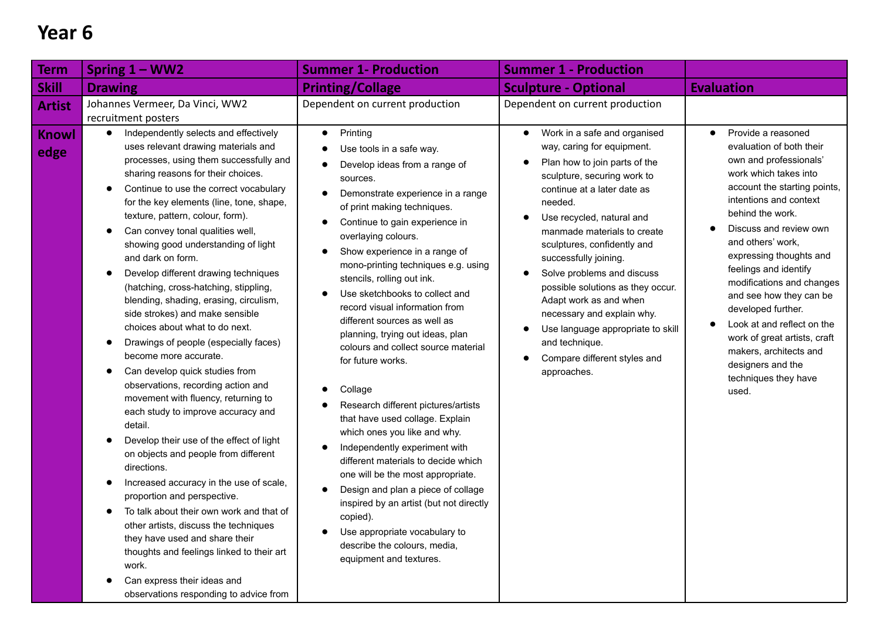| Term                                  | Spring $1 - WW2$                                                                                                                                                                                                                                                                                                                                                                                                                                                                                                                                                                                                                                                                                                                                                                                                                                                                       | <b>Summer 1- Production</b>                                                                                                                                                                                                                                                                                                                                                                                                                                                                                                                                                                                                                                                                                                       | <b>Summer 1 - Production</b>                                                                                                                                                                                                                                                                  |                                                                                                                                                                                                                                                                                           |
|---------------------------------------|----------------------------------------------------------------------------------------------------------------------------------------------------------------------------------------------------------------------------------------------------------------------------------------------------------------------------------------------------------------------------------------------------------------------------------------------------------------------------------------------------------------------------------------------------------------------------------------------------------------------------------------------------------------------------------------------------------------------------------------------------------------------------------------------------------------------------------------------------------------------------------------|-----------------------------------------------------------------------------------------------------------------------------------------------------------------------------------------------------------------------------------------------------------------------------------------------------------------------------------------------------------------------------------------------------------------------------------------------------------------------------------------------------------------------------------------------------------------------------------------------------------------------------------------------------------------------------------------------------------------------------------|-----------------------------------------------------------------------------------------------------------------------------------------------------------------------------------------------------------------------------------------------------------------------------------------------|-------------------------------------------------------------------------------------------------------------------------------------------------------------------------------------------------------------------------------------------------------------------------------------------|
| <b>Skill</b>                          | <b>Drawing</b>                                                                                                                                                                                                                                                                                                                                                                                                                                                                                                                                                                                                                                                                                                                                                                                                                                                                         | <b>Printing/Collage</b>                                                                                                                                                                                                                                                                                                                                                                                                                                                                                                                                                                                                                                                                                                           | <b>Sculpture - Optional</b>                                                                                                                                                                                                                                                                   | <b>Evaluation</b>                                                                                                                                                                                                                                                                         |
| <b>Artist</b><br><b>Knowl</b><br>edge | Johannes Vermeer, Da Vinci, WW2<br>recruitment posters<br>Independently selects and effectively<br>$\bullet$<br>uses relevant drawing materials and<br>processes, using them successfully and<br>sharing reasons for their choices.<br>Continue to use the correct vocabulary<br>$\bullet$<br>for the key elements (line, tone, shape,<br>texture, pattern, colour, form).<br>Can convey tonal qualities well,<br>showing good understanding of light                                                                                                                                                                                                                                                                                                                                                                                                                                  | Dependent on current production<br>Printing<br>$\bullet$<br>Use tools in a safe way.<br>Develop ideas from a range of<br>sources.<br>Demonstrate experience in a range<br>of print making techniques.<br>Continue to gain experience in<br>overlaying colours.                                                                                                                                                                                                                                                                                                                                                                                                                                                                    | Dependent on current production<br>Work in a safe and organised<br>$\bullet$<br>way, caring for equipment.<br>Plan how to join parts of the<br>sculpture, securing work to<br>continue at a later date as<br>needed.<br>Use recycled, natural and<br>$\bullet$<br>manmade materials to create | Provide a reasoned<br>$\bullet$<br>evaluation of both their<br>own and professionals'<br>work which takes into<br>account the starting points,<br>intentions and context<br>behind the work.<br>Discuss and review own<br>and others' work,                                               |
|                                       | and dark on form.<br>Develop different drawing techniques<br>(hatching, cross-hatching, stippling,<br>blending, shading, erasing, circulism,<br>side strokes) and make sensible<br>choices about what to do next.<br>Drawings of people (especially faces)<br>become more accurate.<br>Can develop quick studies from<br>observations, recording action and<br>movement with fluency, returning to<br>each study to improve accuracy and<br>detail.<br>Develop their use of the effect of light<br>on objects and people from different<br>directions.<br>Increased accuracy in the use of scale,<br>proportion and perspective.<br>To talk about their own work and that of<br>other artists, discuss the techniques<br>they have used and share their<br>thoughts and feelings linked to their art<br>work.<br>Can express their ideas and<br>observations responding to advice from | Show experience in a range of<br>mono-printing techniques e.g. using<br>stencils, rolling out ink.<br>Use sketchbooks to collect and<br>record visual information from<br>different sources as well as<br>planning, trying out ideas, plan<br>colours and collect source material<br>for future works.<br>Collage<br>Research different pictures/artists<br>that have used collage. Explain<br>which ones you like and why.<br>Independently experiment with<br>different materials to decide which<br>one will be the most appropriate.<br>Design and plan a piece of collage<br>inspired by an artist (but not directly<br>copied).<br>Use appropriate vocabulary to<br>describe the colours, media,<br>equipment and textures. | sculptures, confidently and<br>successfully joining.<br>Solve problems and discuss<br>possible solutions as they occur.<br>Adapt work as and when<br>necessary and explain why.<br>Use language appropriate to skill<br>and technique.<br>Compare different styles and<br>approaches.         | expressing thoughts and<br>feelings and identify<br>modifications and changes<br>and see how they can be<br>developed further.<br>Look at and reflect on the<br>$\bullet$<br>work of great artists, craft<br>makers, architects and<br>designers and the<br>techniques they have<br>used. |